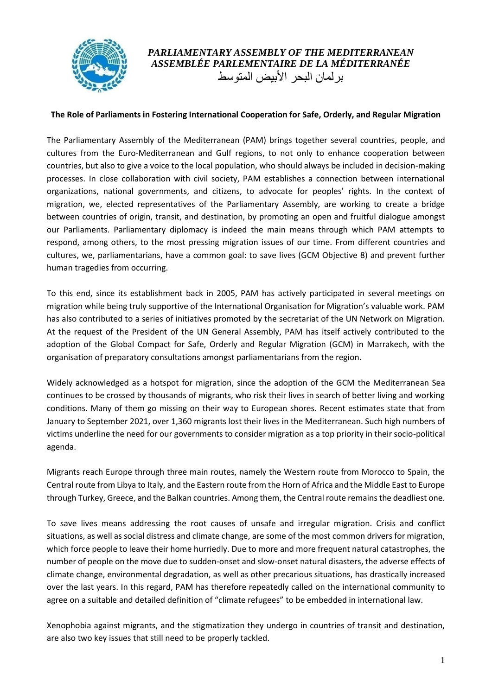

## *PARLIAMENTARY ASSEMBLY OF THE MEDITERRANEAN ASSEMBLÉE PARLEMENTAIRE DE LA MÉDITERRANÉE* بر لمان البحر الأبيض المتوسط

## **The Role of Parliaments in Fostering International Cooperation for Safe, Orderly, and Regular Migration**

The Parliamentary Assembly of the Mediterranean (PAM) brings together several countries, people, and cultures from the Euro-Mediterranean and Gulf regions, to not only to enhance cooperation between countries, but also to give a voice to the local population, who should always be included in decision-making processes. In close collaboration with civil society, PAM establishes a connection between international organizations, national governments, and citizens, to advocate for peoples' rights. In the context of migration, we, elected representatives of the Parliamentary Assembly, are working to create a bridge between countries of origin, transit, and destination, by promoting an open and fruitful dialogue amongst our Parliaments. Parliamentary diplomacy is indeed the main means through which PAM attempts to respond, among others, to the most pressing migration issues of our time. From different countries and cultures, we, parliamentarians, have a common goal: to save lives (GCM Objective 8) and prevent further human tragedies from occurring.

To this end, since its establishment back in 2005, PAM has actively participated in several meetings on migration while being truly supportive of the International Organisation for Migration's valuable work. PAM has also contributed to a series of initiatives promoted by the secretariat of the UN Network on Migration. At the request of the President of the UN General Assembly, PAM has itself actively contributed to the adoption of the Global Compact for Safe, Orderly and Regular Migration (GCM) in Marrakech, with the organisation of preparatory consultations amongst parliamentarians from the region.

Widely acknowledged as a hotspot for migration, since the adoption of the GCM the Mediterranean Sea continues to be crossed by thousands of migrants, who risk their lives in search of better living and working conditions. Many of them go missing on their way to European shores. Recent estimates state that from January to September 2021, over 1,360 migrants lost their lives in the Mediterranean. Such high numbers of victims underline the need for our governments to consider migration as a top priority in their socio-political agenda.

Migrants reach Europe through three main routes, namely the Western route from Morocco to Spain, the Central route from Libya to Italy, and the Eastern route from the Horn of Africa and the Middle East to Europe through Turkey, Greece, and the Balkan countries. Among them, the Central route remains the deadliest one.

To save lives means addressing the root causes of unsafe and irregular migration. Crisis and conflict situations, as well as social distress and climate change, are some of the most common drivers for migration, which force people to leave their home hurriedly. Due to more and more frequent natural catastrophes, the number of people on the move due to sudden-onset and slow-onset natural disasters, the adverse effects of climate change, environmental degradation, as well as other precarious situations, has drastically increased over the last years. In this regard, PAM has therefore repeatedly called on the international community to agree on a suitable and detailed definition of "climate refugees" to be embedded in international law.

Xenophobia against migrants, and the stigmatization they undergo in countries of transit and destination, are also two key issues that still need to be properly tackled.